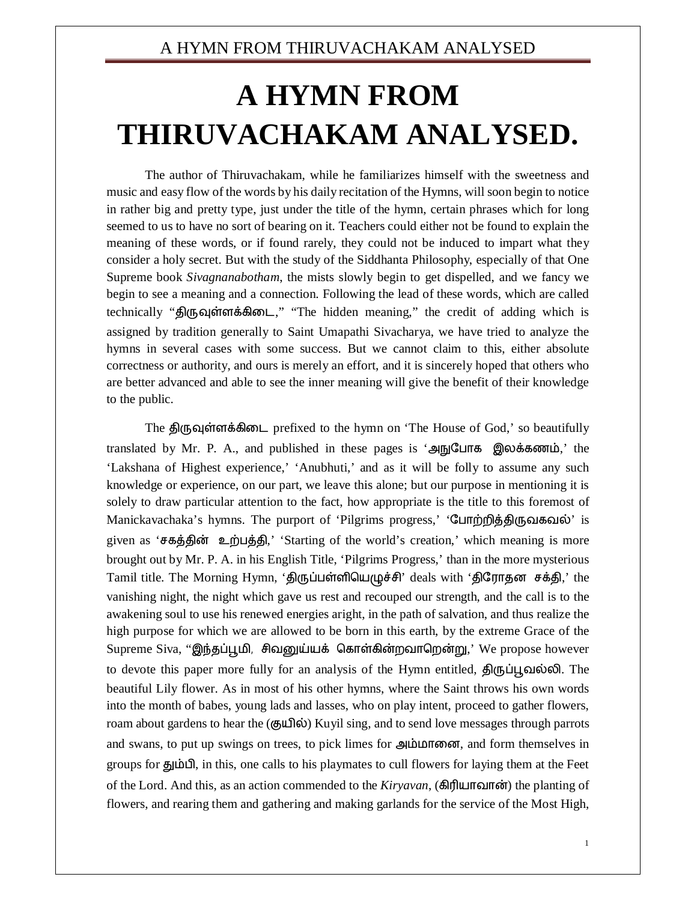## A HYMN FROM THIRUVACHAKAM ANALYSED

## **A HYMN FROM THIRUVACHAKAM ANALYSED.**

The author of Thiruvachakam, while he familiarizes himself with the sweetness and music and easy flow of the words by his daily recitation of the Hymns, will soon begin to notice in rather big and pretty type, just under the title of the hymn, certain phrases which for long seemed to us to have no sort of bearing on it. Teachers could either not be found to explain the meaning of these words, or if found rarely, they could not be induced to impart what they consider a holy secret. But with the study of the Siddhanta Philosophy, especially of that One Supreme book *Sivagnanabotham*, the mists slowly begin to get dispelled, and we fancy we begin to see a meaning and a connection. Following the lead of these words, which are called technically "திருவுள்ளக்கிடை," "The hidden meaning," the credit of adding which is assigned by tradition generally to Saint Umapathi Sivacharya, we have tried to analyze the hymns in several cases with some success. But we cannot claim to this, either absolute correctness or authority, and ours is merely an effort, and it is sincerely hoped that others who are better advanced and able to see the inner meaning will give the benefit of their knowledge to the public.

The திருவுள்ளக்கிடை prefixed to the hymn on 'The House of God,' so beautifully translated by Mr. P. A., and published in these pages is 'அநுபோக இலக்கணம்,' the 'Lakshana of Highest experience,' 'Anubhuti,' and as it will be folly to assume any such knowledge or experience, on our part, we leave this alone; but our purpose in mentioning it is solely to draw particular attention to the fact, how appropriate is the title to this foremost of Manickavachaka's hymns. The purport of 'Pilgrims progress,' 'போற்றித்திருவகவல்' is given as 'சகத்தின் உற்பத்தி,' 'Starting of the world's creation,' which meaning is more brought out by Mr. P. A. in his English Title, 'Pilgrims Progress,' than in the more mysterious Tamil title. The Morning Hymn, 'திருப்பள்ளியெழுச்சி' deals with 'திரோதன சக்தி,' the vanishing night, the night which gave us rest and recouped our strength, and the call is to the awakening soul to use his renewed energies aright, in the path of salvation, and thus realize the high purpose for which we are allowed to be born in this earth, by the extreme Grace of the Supreme Siva, "இந்தப்பூமி, சிவனுய்யக் கொள்கின்றவாறென்று,' We propose however to devote this paper more fully for an analysis of the Hymn entitled, திருப்பூவல்லி. The beautiful Lily flower. As in most of his other hymns, where the Saint throws his own words into the month of babes, young lads and lasses, who on play intent, proceed to gather flowers, roam about gardens to hear the (குயில்) Kuyil sing, and to send love messages through parrots and swans, to put up swings on trees, to pick limes for அம்மானை, and form themselves in groups for தும்பி, in this, one calls to his playmates to cull flowers for laying them at the Feet of the Lord. And this, as an action commended to the *Kiryavan*, (கிரியாவான்) the planting of flowers, and rearing them and gathering and making garlands for the service of the Most High,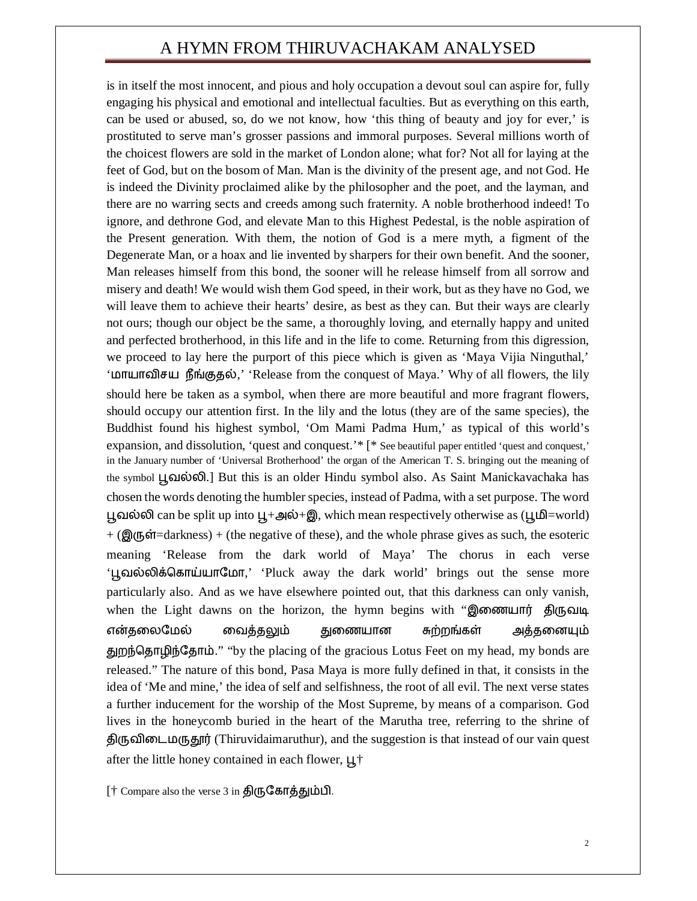## A HYMN FROM THIRUVACHAKAM ANALYSED

is in itself the most innocent, and pious and holy occupation a devout soul can aspire for, fully engaging his physical and emotional and intellectual faculties. But as everything on this earth, can be used or abused, so, do we not know, how 'this thing of beauty and joy for ever,' is prostituted to serve man's grosser passions and immoral purposes. Several millions worth of the choicest flowers are sold in the market of London alone; what for? Not all for laying at the feet of God, but on the bosom of Man. Man is the divinity of the present age, and not God. He is indeed the Divinity proclaimed alike by the philosopher and the poet, and the layman, and there are no warring sects and creeds among such fraternity. A noble brotherhood indeed! To ignore, and dethrone God, and elevate Man to this Highest Pedestal, is the noble aspiration of the Present generation. With them, the notion of God is a mere myth, a figment of the Degenerate Man, or a hoax and lie invented by sharpers for their own benefit. And the sooner, Man releases himself from this bond, the sooner will he release himself from all sorrow and misery and death! We would wish them God speed, in their work, but as they have no God, we will leave them to achieve their hearts' desire, as best as they can. But their ways are clearly not ours; though our object be the same, a thoroughly loving, and eternally happy and united and perfected brotherhood, in this life and in the life to come. Returning from this digression, we proceed to lay here the purport of this piece which is given as 'Maya Vijia Ninguthal,' 'மாயாவிசய நீங்குதல்,' 'Release from the conquest of Maya.' Why of all flowers, the lily should here be taken as a symbol, when there are more beautiful and more fragrant flowers, should occupy our attention first. In the lily and the lotus (they are of the same species), the Buddhist found his highest symbol, 'Om Mami Padma Hum,' as typical of this world's expansion, and dissolution, 'quest and conquest.'\* [\* See beautiful paper entitled 'quest and conquest,' in the January number of 'Universal Brotherhood' the organ of the American T. S. bringing out the meaning of the symbol பூவல்லி.] But this is an older Hindu symbol also. As Saint Manickavachaka has chosen the words denoting the humbler species, instead of Padma, with a set purpose. The word பூவல்லி can be split up into ப $\downarrow$ +அல்+இ, which mean respectively otherwise as (பூமி=world)  $+$  ( $\mathbf{Q}(\mathbf{q}, \mathbf{r})$  = darkness) + (the negative of these), and the whole phrase gives as such, the esoteric meaning 'Release from the dark world of Maya' The chorus in each verse 'பூவல்லிக்கொய்யாமோ,' 'Pluck away the dark world' brings out the sense more particularly also. And as we have elsewhere pointed out, that this darkness can only vanish, when the Light dawns on the horizon, the hymn begins with "இணையார் திருவடி என்தலைமேல் வைத்தலும் துணையான சுற்றங்கள் அத்தனையும் துறந்தொழிந்தோம்." "by the placing of the gracious Lotus Feet on my head, my bonds are released." The nature of this bond, Pasa Maya is more fully defined in that, it consists in the idea of 'Me and mine,' the idea of self and selfishness, the root of all evil. The next verse states a further inducement for the worship of the Most Supreme, by means of a comparison. God lives in the honeycomb buried in the heart of the Marutha tree, referring to the shrine of திருவிடைமருதூர் (Thiruvidaimaruthur), and the suggestion is that instead of our vain quest after the little honey contained in each flower,  $\mu^+$ 

[ $\dagger$  Compare also the verse 3 in திருகோத்தும்பி.